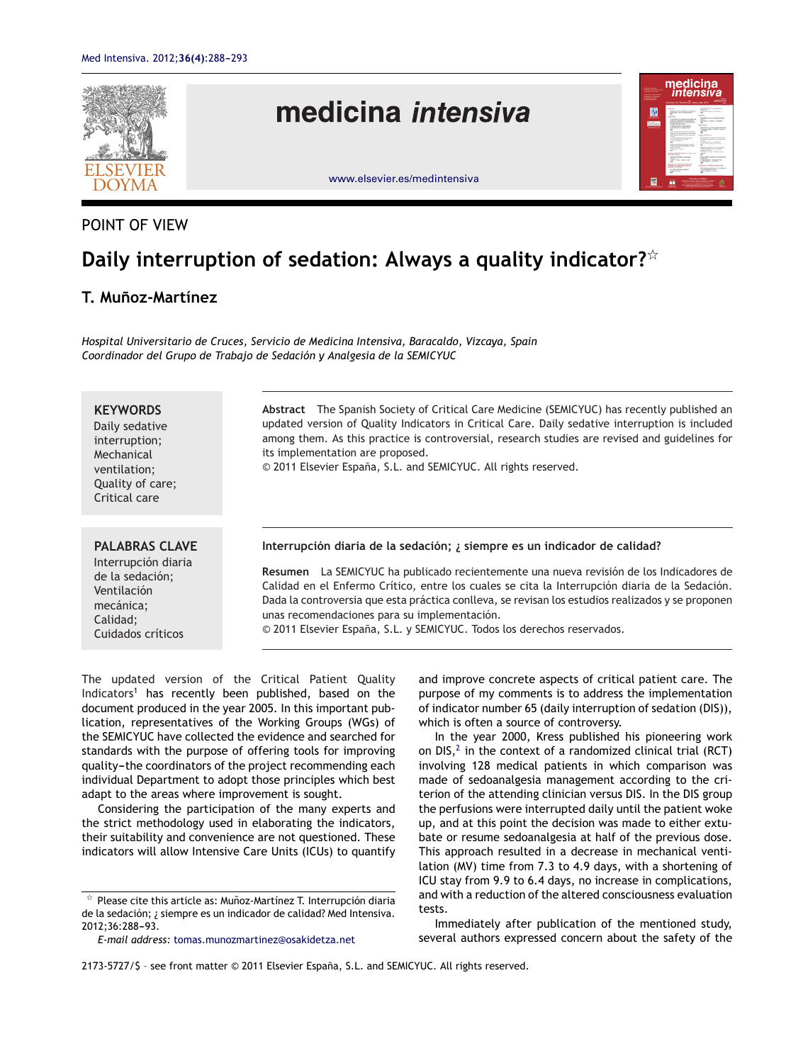

# POINT OF VIEW

# **Daily interruption of sedation: Always a quality indicator?**-

# **T. Munoz-Martínez ˜**

*Hospital Universitario de Cruces, Servicio de Medicina Intensiva, Baracaldo, Vizcaya, Spain Coordinador del Grupo de Trabajo de Sedación y Analgesia de la SEMICYUC*

### **KEYWORDS**

Daily sedative interruption; Mechanical ventilation; Quality of care; Critical care

#### **PALABRAS CLAVE**

Interrupción diaria de la sedación; Ventilación mecánica; Calidad; Cuidados críticos

**Abstract** The Spanish Society of Critical Care Medicine (SEMICYUC) has recently published an updated version of Quality Indicators in Critical Care. Daily sedative interruption is included among them. As this practice is controversial, research studies are revised and guidelines for its implementation are proposed.

© 2011 Elsevier España, S.L. and SEMICYUC. All rights reserved.

#### **Interrupción diaria de la sedación; ¿ siempre es un indicador de calidad?**

**Resumen** La SEMICYUC ha publicado recientemente una nueva revisión de los Indicadores de Calidad en el Enfermo Crítico, entre los cuales se cita la Interrupción diaria de la Sedación. Dada la controversia que esta práctica conlleva, se revisan los estudios realizados y se proponen unas recomendaciones para su implementación.

© 2011 Elsevier España, S.L. y SEMICYUC. Todos los derechos reservados.

The updated version of the Critical Patient Quality Indicators<sup>[1](#page-4-0)</sup> has recently been published, based on the document produced in the year 2005. In this important publication, representatives of the Working Groups (WGs) of the SEMICYUC have collected the evidence and searched for standards with the purpose of offering tools for improving quality-the coordinators of the project recommending each individual Department to adopt those principles which best adapt to the areas where improvement is sought.

Considering the participation of the many experts and the strict methodology used in elaborating the indicators, their suitability and convenience are not questioned. These indicators will allow Intensive Care Units (ICUs) to quantify

and improve concrete aspects of critical patient care. The purpose of my comments is to address the implementation of indicator number 65 (daily interruption of sedation (DIS)), which is often a source of controversy.

In the year 2000, Kress published his pioneering work on DIS, $^2$  $^2$  in the context of a randomized clinical trial (RCT) involving 128 medical patients in which comparison was made of sedoanalgesia management according to the criterion of the attending clinician versus DIS. In the DIS group the perfusions were interrupted daily until the patient woke up, and at this point the decision was made to either extubate or resume sedoanalgesia at half of the previous dose. This approach resulted in a decrease in mechanical ventilation (MV) time from 7.3 to 4.9 days, with a shortening of ICU stay from 9.9 to 6.4 days, no increase in complications, and with a reduction of the altered consciousness evaluation tests.

Immediately after publication of the mentioned study, several authors expressed concern about the safety of the

 $\mathrm{\star}\,$  Please cite this article as: Muñoz-Martínez T. Interrupción diaria de la sedación; ¿ siempre es un indicador de calidad? Med Intensiva. 2012;36:288-93.

*E-mail address:* [tomas.munozmartinez@osakidetza.net](mailto:tomas.munozmartinez@osakidetza.net)

<sup>2173-5727/\$</sup> – see front matter © 2011 Elsevier España, S.L. and SEMICYUC. All rights reserved.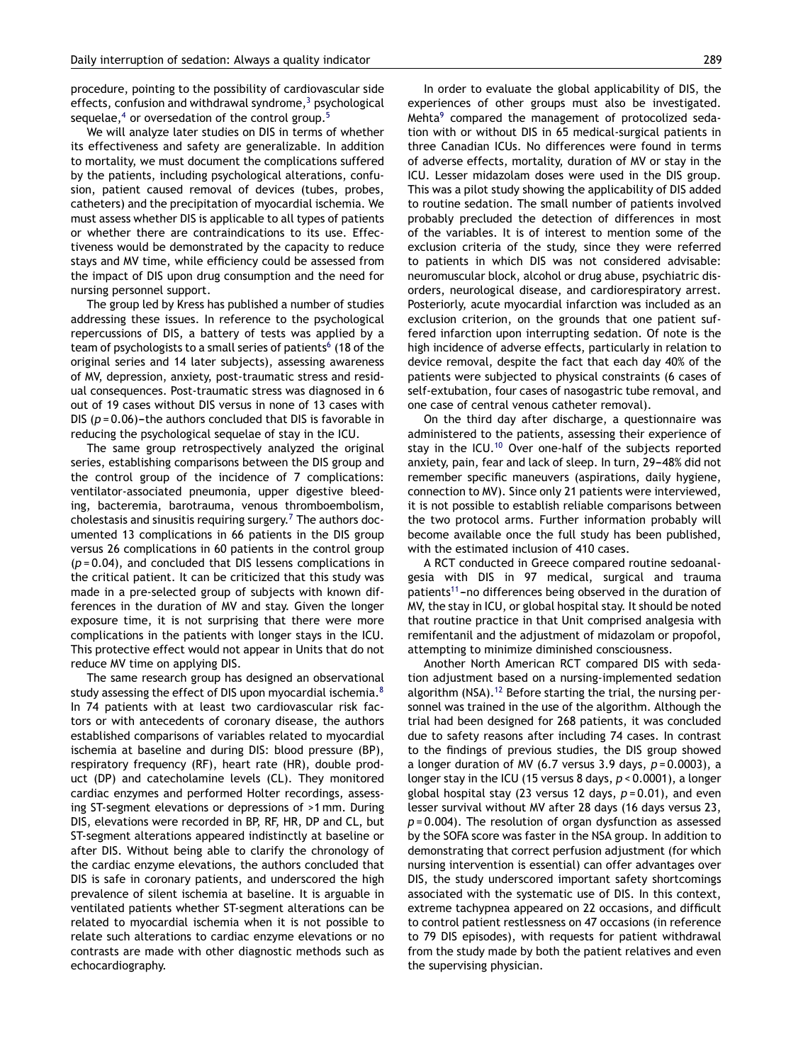procedure, pointing to the possibility of cardiovascular side effects, confusion and withdrawal syndrome, $3$  [p](#page-4-0)sychological sequelae, $4$  or oversedation of the control group.<sup>[5](#page-4-0)</sup>

We will analyze later studies on DIS in terms of whether its effectiveness and safety are generalizable. In addition to mortality, we must document the complications suffered by the patients, including psychological alterations, confusion, patient caused removal of devices (tubes, probes, catheters) and the precipitation of myocardial ischemia. We must assess whether DIS is applicable to all types of patients or whether there are contraindications to its use. Effectiveness would be demonstrated by the capacity to reduce stays and MV time, while efficiency could be assessed from the impact of DIS upon drug consumption and the need for nursing personnel support.

The group led by Kress has published a number of studies addressing these issues. In reference to the psychological repercussions of DIS, a battery of tests was applied by a team of psychologists to a small series of patients<sup>6</sup> [\(](#page-4-0)18 of the original series and 14 later subjects), assessing awareness of MV, depression, anxiety, post-traumatic stress and residual consequences. Post-traumatic stress was diagnosed in 6 out of 19 cases without DIS versus in none of 13 cases with DIS  $(p = 0.06)$ -the authors concluded that DIS is favorable in reducing the psychological sequelae of stay in the ICU.

The same group retrospectively analyzed the original series, establishing comparisons between the DIS group and the control group of the incidence of 7 complications: ventilator-associated pneumonia, upper digestive bleeding, bacteremia, barotrauma, venous thromboembolism, cholestasis and sinusitis requiring surgery.<sup>7</sup> [T](#page-4-0)he authors documented 13 complications in 66 patients in the DIS group versus 26 complications in 60 patients in the control group (*p* = 0.04), and concluded that DIS lessens complications in the critical patient. It can be criticized that this study was made in a pre-selected group of subjects with known differences in the duration of MV and stay. Given the longer exposure time, it is not surprising that there were more complications in the patients with longer stays in the ICU. This protective effect would not appear in Units that do not reduce MV time on applying DIS.

The same research group has designed an observational study assessing the effect of DIS upon myocardial ischemia.<sup>[8](#page-4-0)</sup> In 74 patients with at least two cardiovascular risk factors or with antecedents of coronary disease, the authors established comparisons of variables related to myocardial ischemia at baseline and during DIS: blood pressure (BP), respiratory frequency (RF), heart rate (HR), double product (DP) and catecholamine levels (CL). They monitored cardiac enzymes and performed Holter recordings, assessing ST-segment elevations or depressions of >1 mm. During DIS, elevations were recorded in BP, RF, HR, DP and CL, but ST-segment alterations appeared indistinctly at baseline or after DIS. Without being able to clarify the chronology of the cardiac enzyme elevations, the authors concluded that DIS is safe in coronary patients, and underscored the high prevalence of silent ischemia at baseline. It is arguable in ventilated patients whether ST-segment alterations can be related to myocardial ischemia when it is not possible to relate such alterations to cardiac enzyme elevations or no contrasts are made with other diagnostic methods such as echocardiography.

In order to evaluate the global applicability of DIS, the experiences of other groups must also be investigated. Mehta<sup>[9](#page-4-0)</sup> compared the management of protocolized sedation with or without DIS in 65 medical-surgical patients in three Canadian ICUs. No differences were found in terms of adverse effects, mortality, duration of MV or stay in the ICU. Lesser midazolam doses were used in the DIS group. This was a pilot study showing the applicability of DIS added to routine sedation. The small number of patients involved probably precluded the detection of differences in most of the variables. It is of interest to mention some of the exclusion criteria of the study, since they were referred to patients in which DIS was not considered advisable: neuromuscular block, alcohol or drug abuse, psychiatric disorders, neurological disease, and cardiorespiratory arrest. Posteriorly, acute myocardial infarction was included as an exclusion criterion, on the grounds that one patient suffered infarction upon interrupting sedation. Of note is the high incidence of adverse effects, particularly in relation to device removal, despite the fact that each day 40% of the patients were subjected to physical constraints (6 cases of self-extubation, four cases of nasogastric tube removal, and one case of central venous catheter removal).

On the third day after discharge, a questionnaire was administered to the patients, assessing their experience of stay in the ICU.[10](#page-4-0) Over one-half of the subjects reported anxiety, pain, fear and lack of sleep. In turn, 29-48% did not remember specific maneuvers (aspirations, daily hygiene, connection to MV). Since only 21 patients were interviewed, it is not possible to establish reliable comparisons between the two protocol arms. Further information probably will become available once the full study has been published, with the estimated inclusion of 410 cases.

A RCT conducted in Greece compared routine sedoanalgesia with DIS in 97 medical, surgical and trauma patients<sup>[11](#page-4-0)</sup>-no differences being observed in the duration of MV, the stay in ICU, or global hospital stay. It should be noted that routine practice in that Unit comprised analgesia with remifentanil and the adjustment of midazolam or propofol, attempting to minimize diminished consciousness.

Another North American RCT compared DIS with sedation adjustment based on a nursing-implemented sedation algorithm (NSA).<sup>[12](#page-4-0)</sup> Before starting the trial, the nursing personnel was trained in the use of the algorithm. Although the trial had been designed for 268 patients, it was concluded due to safety reasons after including 74 cases. In contrast to the findings of previous studies, the DIS group showed a longer duration of MV (6.7 versus 3.9 days, *p* = 0.0003), a longer stay in the ICU (15 versus 8 days, *p* < 0.0001), a longer global hospital stay (23 versus 12 days, *p* = 0.01), and even lesser survival without MV after 28 days (16 days versus 23, *p* = 0.004). The resolution of organ dysfunction as assessed by the SOFA score was faster in the NSA group. In addition to demonstrating that correct perfusion adjustment (for which nursing intervention is essential) can offer advantages over DIS, the study underscored important safety shortcomings associated with the systematic use of DIS. In this context, extreme tachypnea appeared on 22 occasions, and difficult to control patient restlessness on 47 occasions (in reference to 79 DIS episodes), with requests for patient withdrawal from the study made by both the patient relatives and even the supervising physician.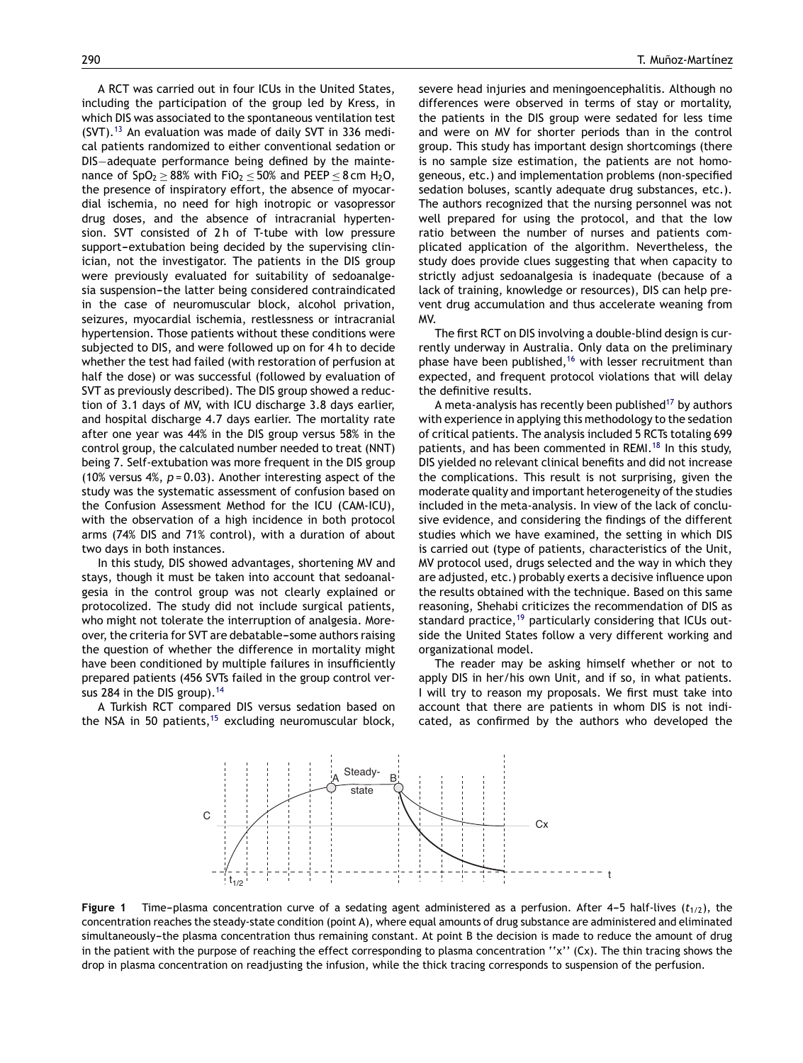<span id="page-2-0"></span>A RCT was carried out in four ICUs in the United States, including the participation of the group led by Kress, in which DIS was associated to the spontaneous ventilation test  $(SVT)$ .<sup>[13](#page-4-0)</sup> An evaluation was made of daily SVT in 336 medical patients randomized to either conventional sedation or DIS−adequate performance being defined by the maintenance of  $SpO<sub>2</sub> \ge 88%$  with  $FiO<sub>2</sub> \le 50%$  and PEEP  $\le 8$  cm H<sub>2</sub>O, the presence of inspiratory effort, the absence of myocardial ischemia, no need for high inotropic or vasopressor drug doses, and the absence of intracranial hypertension. SVT consisted of 2 h of T-tube with low pressure support-extubation being decided by the supervising clinician, not the investigator. The patients in the DIS group were previously evaluated for suitability of sedoanalgesia suspension-the latter being considered contraindicated in the case of neuromuscular block, alcohol privation, seizures, myocardial ischemia, restlessness or intracranial hypertension. Those patients without these conditions were subjected to DIS, and were followed up on for 4h to decide whether the test had failed (with restoration of perfusion at half the dose) or was successful (followed by evaluation of SVT as previously described). The DIS group showed a reduction of 3.1 days of MV, with ICU discharge 3.8 days earlier, and hospital discharge 4.7 days earlier. The mortality rate after one year was 44% in the DIS group versus 58% in the control group, the calculated number needed to treat (NNT) being 7. Self-extubation was more frequent in the DIS group (10% versus 4%, *p* = 0.03). Another interesting aspect of the study was the systematic assessment of confusion based on the Confusion Assessment Method for the ICU (CAM-ICU), with the observation of a high incidence in both protocol arms (74% DIS and 71% control), with a duration of about two days in both instances.

In this study, DIS showed advantages, shortening MV and stays, though it must be taken into account that sedoanalgesia in the control group was not clearly explained or protocolized. The study did not include surgical patients, who might not tolerate the interruption of analgesia. Moreover, the criteria for SVT are debatable-some authors raising the question of whether the difference in mortality might have been conditioned by multiple failures in insufficiently prepared patients (456 SVTs failed in the group control ver-sus 284 in the DIS group).<sup>[14](#page-4-0)</sup>

A Turkish RCT compared DIS versus sedation based on the NSA in 50 patients,  $15$  excluding neuromuscular block,

severe head injuries and meningoencephalitis. Although no differences were observed in terms of stay or mortality, the patients in the DIS group were sedated for less time and were on MV for shorter periods than in the control group. This study has important design shortcomings (there is no sample size estimation, the patients are not homogeneous, etc.) and implementation problems (non-specified sedation boluses, scantly adequate drug substances, etc.). The authors recognized that the nursing personnel was not well prepared for using the protocol, and that the low ratio between the number of nurses and patients complicated application of the algorithm. Nevertheless, the study does provide clues suggesting that when capacity to strictly adjust sedoanalgesia is inadequate (because of a lack of training, knowledge or resources), DIS can help prevent drug accumulation and thus accelerate weaning from MV.

The first RCT on DIS involving a double-blind design is currently underway in Australia. Only data on the preliminary phase have been published,<sup>[16](#page-4-0)</sup> with lesser recruitment than expected, and frequent protocol violations that will delay the definitive results.

A meta-analysis has recently been published<sup>[17](#page-4-0)</sup> by authors with experience in applying this methodology to the sedation of critical patients. The analysis included 5 RCTs totaling 699 patients, and has been commented in REMI.<sup>[18](#page-4-0)</sup> In this study, DIS yielded no relevant clinical benefits and did not increase the complications. This result is not surprising, given the moderate quality and important heterogeneity of the studies included in the meta-analysis. In view of the lack of conclusive evidence, and considering the findings of the different studies which we have examined, the setting in which DIS is carried out (type of patients, characteristics of the Unit, MV protocol used, drugs selected and the way in which they are adjusted, etc.) probably exerts a decisive influence upon the results obtained with the technique. Based on this same reasoning, Shehabi criticizes the recommendation of DIS as standard practice,<sup>[19](#page-4-0)</sup> particularly considering that ICUs outside the United States follow a very different working and organizational model.

The reader may be asking himself whether or not to apply DIS in her/his own Unit, and if so, in what patients. I will try to reason my proposals. We first must take into account that there are patients in whom DIS is not indicated, as confirmed by the authors who developed the



**Figure** 1 Time-plasma concentration curve of a sedating agent administered as a perfusion. After 4-5 half-lives ( $t_{1/2}$ ), the concentration reaches the steady-state condition (point A), where equal amounts of drug substance are administered and eliminated simultaneously-the plasma concentration thus remaining constant. At point B the decision is made to reduce the amount of drug in the patient with the purpose of reaching the effect corresponding to plasma concentration ''x'' (Cx). The thin tracing shows the drop in plasma concentration on readjusting the infusion, while the thick tracing corresponds to suspension of the perfusion.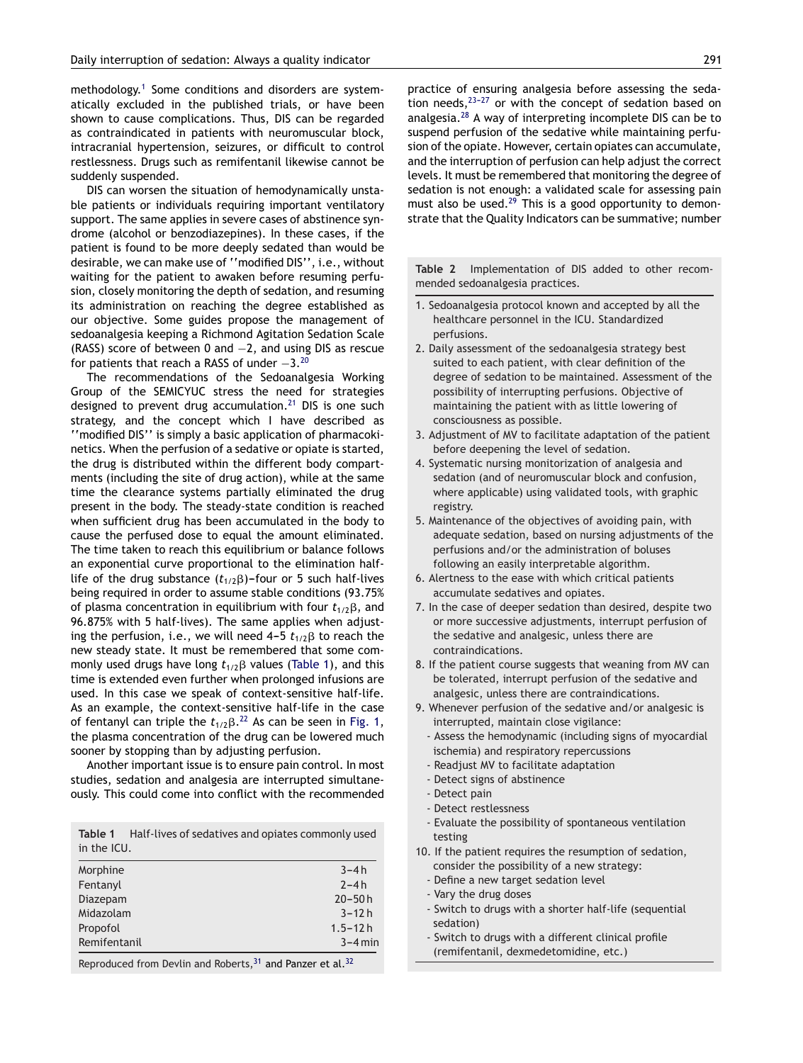<span id="page-3-0"></span>methodology.[1](#page-4-0) Some conditions and disorders are systematically excluded in the published trials, or have been shown to cause complications. Thus, DIS can be regarded as contraindicated in patients with neuromuscular block, intracranial hypertension, seizures, or difficult to control restlessness. Drugs such as remifentanil likewise cannot be suddenly suspended.

DIS can worsen the situation of hemodynamically unstable patients or individuals requiring important ventilatory support. The same applies in severe cases of abstinence syndrome (alcohol or benzodiazepines). In these cases, if the patient is found to be more deeply sedated than would be desirable, we can make use of ''modified DIS'', i.e., without waiting for the patient to awaken before resuming perfusion, closely monitoring the depth of sedation, and resuming its administration on reaching the degree established as our objective. Some guides propose the management of sedoanalgesia keeping a Richmond Agitation Sedation Scale (RASS) score of between 0 and −2, and using DIS as rescue for patients that reach a RASS of under -3.<sup>[20](#page-4-0)</sup>

The recommendations of the Sedoanalgesia Working Group of the SEMICYUC stress the need for strategies designed to prevent drug accumulation.<sup>[21](#page-4-0)</sup> DIS is one such strategy, and the concept which I have described as ''modified DIS'' is simply a basic application of pharmacokinetics. When the perfusion of a sedative or opiate is started, the drug is distributed within the different body compartments (including the site of drug action), while at the same time the clearance systems partially eliminated the drug present in the body. The steady-state condition is reached when sufficient drug has been accumulated in the body to cause the perfused dose to equal the amount eliminated. The time taken to reach this equilibrium or balance follows an exponential curve proportional to the elimination halflife of the drug substance  $(t_{1/2}\beta)$ –four or 5 such half-lives being required in order to assume stable conditions (93.75% of plasma concentration in equilibrium with four  $t_{1/2}\beta$ , and 96.875% with 5 half-lives). The same applies when adjusting the perfusion, i.e., we will need 4–5  $t_{1/2}\beta$  to reach the new steady state. It must be remembered that some commonly used drugs have long  $t_{1/2}\beta$  values (Table 1), and this time is extended even further when prolonged infusions are used. In this case we speak of context-sensitive half-life. As an example, the context-sensitive half-life in the case of fentanyl can triple the  $t_{1/2}\beta$ .<sup>[22](#page-4-0)</sup> As can be seen in [Fig.](#page-2-0) 1, the plasma concentration of the drug can be lowered much sooner by stopping than by adjusting perfusion.

Another important issue is to ensure pain control. In most studies, sedation and analgesia are interrupted simultaneously. This could come into conflict with the recommended

**Table 1** Half-lives of sedatives and opiates commonly used in the ICU.

| Morphine     |               | $3 - 4h$    |
|--------------|---------------|-------------|
| Fentanyl     |               | $2 - 4h$    |
| Diazepam     |               | $20 - 50h$  |
| Midazolam    |               | $3 - 12h$   |
| Propofol     |               | $1.5 - 12h$ |
| Remifentanil |               | $3 - 4$ min |
|              | $\sim$ $\sim$ | $\sim$      |

Reproduced from Devlin and Roberts,  $31$  and Panzer et al.  $32$ 

practice of ensuring analgesia before assessing the sedation needs, $23-27$  or with the concept of sedation based on analgesia.[28](#page-4-0) A way of interpreting incomplete DIS can be to suspend perfusion of the sedative while maintaining perfusion of the opiate. However, certain opiates can accumulate, and the interruption of perfusion can help adjust the correct levels. It must be remembered that monitoring the degree of sedation is not enough: a validated scale for assessing pain must also be used.<sup>[29](#page-5-0)</sup> This is a good opportunity to demonstrate that the Quality Indicators can be summative; number

**Table 2** Implementation of DIS added to other recommended sedoanalgesia practices.

- 1. Sedoanalgesia protocol known and accepted by all the healthcare personnel in the ICU. Standardized perfusions.
- 2. Daily assessment of the sedoanalgesia strategy best suited to each patient, with clear definition of the degree of sedation to be maintained. Assessment of the possibility of interrupting perfusions. Objective of maintaining the patient with as little lowering of consciousness as possible.
- 3. Adjustment of MV to facilitate adaptation of the patient before deepening the level of sedation.
- 4. Systematic nursing monitorization of analgesia and sedation (and of neuromuscular block and confusion, where applicable) using validated tools, with graphic registry.
- 5. Maintenance of the objectives of avoiding pain, with adequate sedation, based on nursing adjustments of the perfusions and/or the administration of boluses following an easily interpretable algorithm.
- 6. Alertness to the ease with which critical patients accumulate sedatives and opiates.
- 7. In the case of deeper sedation than desired, despite two or more successive adjustments, interrupt perfusion of the sedative and analgesic, unless there are contraindications.
- 8. If the patient course suggests that weaning from MV can be tolerated, interrupt perfusion of the sedative and analgesic, unless there are contraindications.
- 9. Whenever perfusion of the sedative and/or analgesic is interrupted, maintain close vigilance:
	- Assess the hemodynamic (including signs of myocardial ischemia) and respiratory repercussions
	- Readjust MV to facilitate adaptation
	- Detect signs of abstinence
	- Detect pain
	- Detect restlessness
	- Evaluate the possibility of spontaneous ventilation testing
- 10. If the patient requires the resumption of sedation, consider the possibility of a new strategy:
	- Define a new target sedation level
- Vary the drug doses
- Switch to drugs with a shorter half-life (sequential sedation)
- Switch to drugs with a different clinical profile (remifentanil, dexmedetomidine, etc.)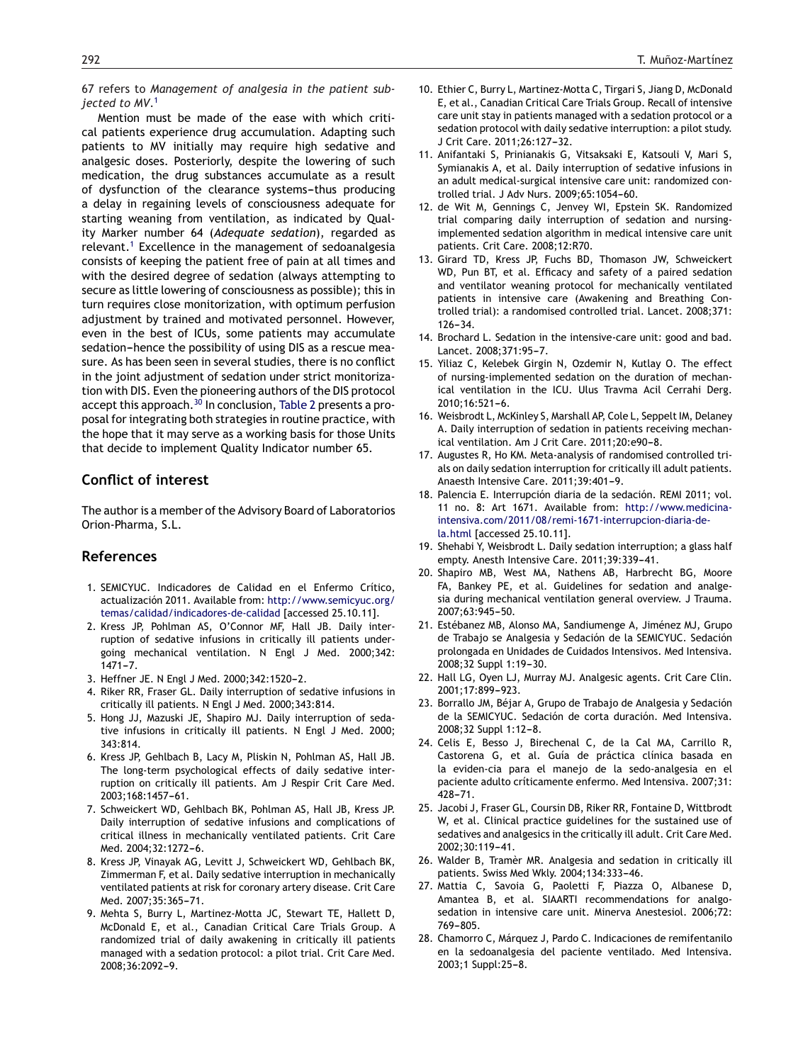<span id="page-4-0"></span>67 refers to *Management of analgesia in the patient subjected to MV*. 1

Mention must be made of the ease with which critical patients experience drug accumulation. Adapting such patients to MV initially may require high sedative and analgesic doses. Posteriorly, despite the lowering of such medication, the drug substances accumulate as a result of dysfunction of the clearance systems-thus producing a delay in regaining levels of consciousness adequate for starting weaning from ventilation, as indicated by Quality Marker number 64 (*Adequate sedation*), regarded as relevant.<sup>1</sup> Excellence in the management of sedoanalgesia consists of keeping the patient free of pain at all times and with the desired degree of sedation (always attempting to secure as little lowering of consciousness as possible); this in turn requires close monitorization, with optimum perfusion adjustment by trained and motivated personnel. However, even in the best of ICUs, some patients may accumulate sedation-hence the possibility of using DIS as a rescue measure. As has been seen in several studies, there is no conflict in the joint adjustment of sedation under strict monitorization with DIS. Even the pioneering authors of the DIS protocol accept this approach.<sup>[30](#page-5-0)</sup> In conclusion, [Table](#page-3-0) 2 presents a proposal for integrating both strategies in routine practice, with the hope that it may serve as a working basis for those Units that decide to implement Quality Indicator number 65.

## **Conflict of interest**

The author is a member of the Advisory Board of Laboratorios Orion-Pharma, S.L.

## **References**

- 1. SEMICYUC. Indicadores de Calidad en el Enfermo Crítico, actualización 2011. Available from: [http://www.semicyuc.org/](http://www.semicyuc.org/temas/calidad/indicadores-de-calidad) [temas/calidad/indicadores-de-calidad](http://www.semicyuc.org/temas/calidad/indicadores-de-calidad) [accessed 25.10.11].
- 2. Kress JP, Pohlman AS, O'Connor MF, Hall JB. Daily interruption of sedative infusions in critically ill patients undergoing mechanical ventilation. N Engl J Med. 2000;342:  $1471 - 7.$
- 3. Heffner JE. N Engl J Med. 2000;342:1520-2.
- 4. Riker RR, Fraser GL. Daily interruption of sedative infusions in critically ill patients. N Engl J Med. 2000;343:814.
- 5. Hong JJ, Mazuski JE, Shapiro MJ. Daily interruption of sedative infusions in critically ill patients. N Engl J Med. 2000; 343:814.
- 6. Kress JP, Gehlbach B, Lacy M, Pliskin N, Pohlman AS, Hall JB. The long-term psychological effects of daily sedative interruption on critically ill patients. Am J Respir Crit Care Med. 2003:168:1457-61.
- 7. Schweickert WD, Gehlbach BK, Pohlman AS, Hall JB, Kress JP. Daily interruption of sedative infusions and complications of critical illness in mechanically ventilated patients. Crit Care Med. 2004;32:1272-6.
- 8. Kress JP, Vinayak AG, Levitt J, Schweickert WD, Gehlbach BK, Zimmerman F, et al. Daily sedative interruption in mechanically ventilated patients at risk for coronary artery disease. Crit Care Med. 2007;35:365-71.
- 9. Mehta S, Burry L, Martinez-Motta JC, Stewart TE, Hallett D, McDonald E, et al., Canadian Critical Care Trials Group. A randomized trial of daily awakening in critically ill patients managed with a sedation protocol: a pilot trial. Crit Care Med. 2008;36:2092-9.
- 10. Ethier C, Burry L, Martinez-Motta C, Tirgari S, Jiang D, McDonald E, et al., Canadian Critical Care Trials Group. Recall of intensive care unit stay in patients managed with a sedation protocol or a sedation protocol with daily sedative interruption: a pilot study. J Crit Care. 2011;26:127-32.
- 11. Anifantaki S, Prinianakis G, Vitsaksaki E, Katsouli V, Mari S, Symianakis A, et al. Daily interruption of sedative infusions in an adult medical-surgical intensive care unit: randomized controlled trial. J Adv Nurs. 2009;65:1054-60.
- 12. de Wit M, Gennings C, Jenvey WI, Epstein SK. Randomized trial comparing daily interruption of sedation and nursingimplemented sedation algorithm in medical intensive care unit patients. Crit Care. 2008;12:R70.
- 13. Girard TD, Kress JP, Fuchs BD, Thomason JW, Schweickert WD, Pun BT, et al. Efficacy and safety of a paired sedation and ventilator weaning protocol for mechanically ventilated patients in intensive care (Awakening and Breathing Controlled trial): a randomised controlled trial. Lancet. 2008;371:  $126 - 34.$
- 14. Brochard L. Sedation in the intensive-care unit: good and bad. Lancet. 2008:371:95-7.
- 15. Yiliaz C, Kelebek Girgin N, Ozdemir N, Kutlay O. The effect of nursing-implemented sedation on the duration of mechanical ventilation in the ICU. Ulus Travma Acil Cerrahi Derg. 2010;16:521-6.
- 16. Weisbrodt L, McKinley S, Marshall AP, Cole L, Seppelt IM, Delaney A. Daily interruption of sedation in patients receiving mechanical ventilation. Am J Crit Care. 2011:20:e90-8.
- 17. Augustes R, Ho KM. Meta-analysis of randomised controlled trials on daily sedation interruption for critically ill adult patients. Anaesth Intensive Care. 2011;39:401-9.
- 18. Palencia E. Interrupción diaria de la sedación. REMI 2011; vol. 11 no. 8: Art 1671. Available from: [http://www.medicina](http://www.medicina-intensiva.com/2011/08/remi-1671-interrupcion-diaria-de-la.html)[intensiva.com/2011/08/remi-1671-interrupcion-diaria-de](http://www.medicina-intensiva.com/2011/08/remi-1671-interrupcion-diaria-de-la.html)la.html [accessed 25.10.11].
- 19. Shehabi Y, Weisbrodt L. Daily sedation interruption; a glass half empty. Anesth Intensive Care. 2011;39:339-41.
- 20. Shapiro MB, West MA, Nathens AB, Harbrecht BG, Moore FA, Bankey PE, et al. Guidelines for sedation and analgesia during mechanical ventilation general overview. J Trauma. 2007:63:945-50.
- 21. Estébanez MB, Alonso MA, Sandiumenge A, Jiménez MJ, Grupo de Trabajo se Analgesia y Sedación de la SEMICYUC. Sedación prolongada en Unidades de Cuidados Intensivos. Med Intensiva. 2008;32 Suppl 1:19-30.
- 22. Hall LG, Oyen LJ, Murray MJ. Analgesic agents. Crit Care Clin. 2001;17:899-923.
- 23. Borrallo JM, Béjar A, Grupo de Trabajo de Analgesia y Sedación de la SEMICYUC. Sedación de corta duración. Med Intensiva. 2008:32 Suppl 1:12-8.
- 24. Celis E, Besso J, Birechenal C, de la Cal MA, Carrillo R, Castorena G, et al. Guía de práctica clínica basada en la eviden-cia para el manejo de la sedo-analgesia en el paciente adulto críticamente enfermo. Med Intensiva. 2007;31: 428-71.
- 25. Jacobi J, Fraser GL, Coursin DB, Riker RR, Fontaine D, Wittbrodt W, et al. Clinical practice guidelines for the sustained use of sedatives and analgesics in the critically ill adult. Crit Care Med. 2002;30:119-41.
- 26. Walder B, Tramèr MR. Analgesia and sedation in critically ill patients. Swiss Med Wkly. 2004;134:333-46.
- 27. Mattia C, Savoia G, Paoletti F, Piazza O, Albanese D, Amantea B, et al. SIAARTI recommendations for analgosedation in intensive care unit. Minerva Anestesiol. 2006;72: 769-805.
- 28. Chamorro C, Márquez J, Pardo C. Indicaciones de remifentanilo en la sedoanalgesia del paciente ventilado. Med Intensiva. 2003;1 Suppl:25-8.